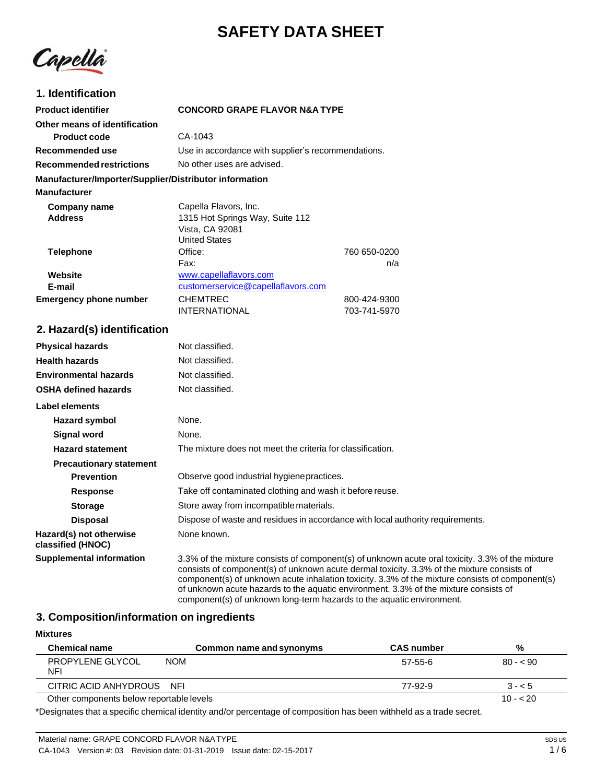# **SAFETY DATA SHEET**



# **1. Identification**

| <b>Product identifier</b>                              | <b>CONCORD GRAPE FLAVOR N&amp;A TYPE</b>           |              |
|--------------------------------------------------------|----------------------------------------------------|--------------|
| Other means of identification                          |                                                    |              |
| <b>Product code</b>                                    | CA-1043                                            |              |
| Recommended use                                        | Use in accordance with supplier's recommendations. |              |
| Recommended restrictions                               | No other uses are advised.                         |              |
| Manufacturer/Importer/Supplier/Distributor information |                                                    |              |
| <b>Manufacturer</b>                                    |                                                    |              |
| Company name                                           | Capella Flavors, Inc.                              |              |
| <b>Address</b>                                         | 1315 Hot Springs Way, Suite 112                    |              |
|                                                        | Vista, CA 92081                                    |              |
|                                                        | <b>United States</b>                               |              |
| <b>Telephone</b>                                       | Office:                                            | 760 650-0200 |
|                                                        | Fax:                                               | n/a          |
| Website                                                | www.capellaflavors.com                             |              |
| E-mail                                                 | customerservice@capellaflavors.com                 |              |
| <b>Emergency phone number</b>                          | <b>CHEMTREC</b>                                    | 800-424-9300 |
|                                                        | <b>INTERNATIONAL</b>                               | 703-741-5970 |

# **2. Hazard(s) identification**

| <b>Physical hazards</b>                      | Not classified.                                                                                                                                                                                                                                                                                                                                                                           |
|----------------------------------------------|-------------------------------------------------------------------------------------------------------------------------------------------------------------------------------------------------------------------------------------------------------------------------------------------------------------------------------------------------------------------------------------------|
| <b>Health hazards</b>                        | Not classified.                                                                                                                                                                                                                                                                                                                                                                           |
| <b>Environmental hazards</b>                 | Not classified.                                                                                                                                                                                                                                                                                                                                                                           |
| <b>OSHA defined hazards</b>                  | Not classified.                                                                                                                                                                                                                                                                                                                                                                           |
| Label elements                               |                                                                                                                                                                                                                                                                                                                                                                                           |
| Hazard symbol                                | None.                                                                                                                                                                                                                                                                                                                                                                                     |
| Signal word                                  | None.                                                                                                                                                                                                                                                                                                                                                                                     |
| <b>Hazard statement</b>                      | The mixture does not meet the criteria for classification.                                                                                                                                                                                                                                                                                                                                |
| <b>Precautionary statement</b>               |                                                                                                                                                                                                                                                                                                                                                                                           |
| <b>Prevention</b>                            | Observe good industrial hygiene practices.                                                                                                                                                                                                                                                                                                                                                |
| <b>Response</b>                              | Take off contaminated clothing and wash it before reuse.                                                                                                                                                                                                                                                                                                                                  |
| <b>Storage</b>                               | Store away from incompatible materials.                                                                                                                                                                                                                                                                                                                                                   |
| <b>Disposal</b>                              | Dispose of waste and residues in accordance with local authority requirements.                                                                                                                                                                                                                                                                                                            |
| Hazard(s) not otherwise<br>classified (HNOC) | None known.                                                                                                                                                                                                                                                                                                                                                                               |
| <b>Supplemental information</b>              | 3.3% of the mixture consists of component(s) of unknown acute oral toxicity. 3.3% of the mixture<br>consists of component(s) of unknown acute dermal toxicity. 3.3% of the mixture consists of<br>component(s) of unknown acute inhalation toxicity. 3.3% of the mixture consists of component(s)<br>of unknown acute hazards to the aquatic environment. 3.3% of the mixture consists of |

## component(s) of unknown long-term hazards to the aquatic environment.

# **3. Composition/information on ingredients**

| <b>Mixtures</b>                          |                          |                   |           |
|------------------------------------------|--------------------------|-------------------|-----------|
| <b>Chemical name</b>                     | Common name and synonyms | <b>CAS number</b> | %         |
| PROPYLENE GLYCOL<br>NFI                  | <b>NOM</b>               | 57-55-6           | $80 - 90$ |
| CITRIC ACID ANHYDROUS                    | NFI                      | 77-92-9           | $3 - 5$   |
| Other components below reportable levels |                          |                   | $10 - 20$ |

\*Designates that a specific chemical identity and/or percentage of composition has been withheld as a trade secret.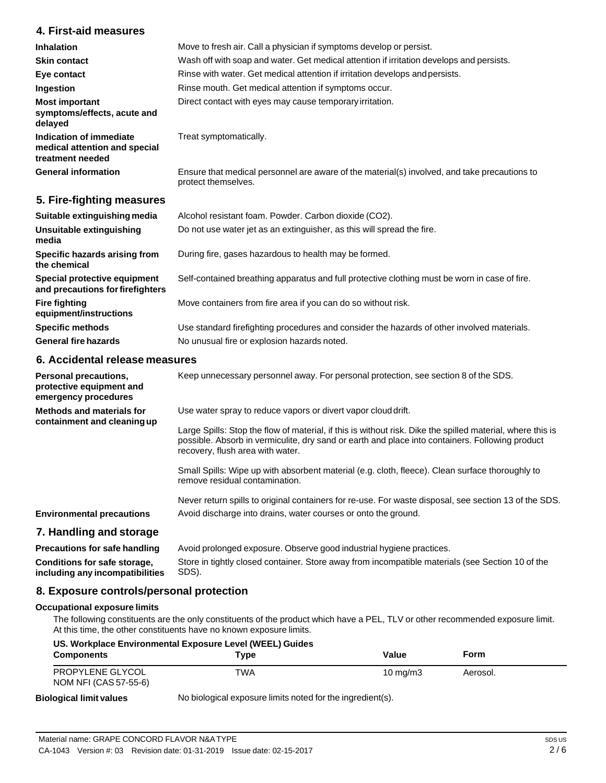# **4. First-aid measures**

| Inhalation<br><b>Skin contact</b>                                            | Move to fresh air. Call a physician if symptoms develop or persist.<br>Wash off with soap and water. Get medical attention if irritation develops and persists. |
|------------------------------------------------------------------------------|-----------------------------------------------------------------------------------------------------------------------------------------------------------------|
| Eye contact                                                                  | Rinse with water. Get medical attention if irritation develops and persists.                                                                                    |
| Ingestion                                                                    | Rinse mouth. Get medical attention if symptoms occur.<br>Direct contact with eyes may cause temporary irritation.                                               |
| <b>Most important</b><br>symptoms/effects, acute and<br>delayed              |                                                                                                                                                                 |
| Indication of immediate<br>medical attention and special<br>treatment needed | Treat symptomatically.                                                                                                                                          |
| <b>General information</b>                                                   | Ensure that medical personnel are aware of the material(s) involved, and take precautions to<br>protect themselves.                                             |

# **5. Fire-fighting measures**

| Suitable extinguishing media                                     | Alcohol resistant foam. Powder. Carbon dioxide (CO2).                                         |
|------------------------------------------------------------------|-----------------------------------------------------------------------------------------------|
| Unsuitable extinguishing<br>media                                | Do not use water jet as an extinguisher, as this will spread the fire.                        |
| Specific hazards arising from<br>the chemical                    | During fire, gases hazardous to health may be formed.                                         |
| Special protective equipment<br>and precautions for firefighters | Self-contained breathing apparatus and full protective clothing must be worn in case of fire. |
| <b>Fire fighting</b><br>equipment/instructions                   | Move containers from fire area if you can do so without risk.                                 |
| <b>Specific methods</b>                                          | Use standard firefighting procedures and consider the hazards of other involved materials.    |
| <b>General fire hazards</b>                                      | No unusual fire or explosion hazards noted.                                                   |

# **6. Accidental release measures**

| Personal precautions,<br>protective equipment and<br>emergency procedures | Keep unnecessary personnel away. For personal protection, see section 8 of the SDS.                                                                                                                                                               |
|---------------------------------------------------------------------------|---------------------------------------------------------------------------------------------------------------------------------------------------------------------------------------------------------------------------------------------------|
| Methods and materials for<br>containment and cleaning up                  | Use water spray to reduce vapors or divert vapor cloud drift.                                                                                                                                                                                     |
|                                                                           | Large Spills: Stop the flow of material, if this is without risk. Dike the spilled material, where this is<br>possible. Absorb in vermiculite, dry sand or earth and place into containers. Following product<br>recovery, flush area with water. |
|                                                                           | Small Spills: Wipe up with absorbent material (e.g. cloth, fleece). Clean surface thoroughly to<br>remove residual contamination.                                                                                                                 |
|                                                                           | Never return spills to original containers for re-use. For waste disposal, see section 13 of the SDS.                                                                                                                                             |
| <b>Environmental precautions</b>                                          | Avoid discharge into drains, water courses or onto the ground.                                                                                                                                                                                    |
| 7. Handling and storage                                                   |                                                                                                                                                                                                                                                   |
| <b>Precautions for safe handling</b>                                      | Avoid prolonged exposure. Observe good industrial hygiene practices.                                                                                                                                                                              |
| Conditions for safe storage,                                              | Store in tightly closed container. Store away from incompatible materials (see Section 10 of the                                                                                                                                                  |

**including any incompatibilities** SDS).

# **8. Exposure controls/personal protection**

#### **Occupational exposure limits**

The following constituents are the only constituents of the product which have a PEL, TLV or other recommended exposure limit. At this time, the other constituents have no known exposure limits.

| US. Workplace Environmental Exposure Level (WEEL) Guides |      |                     |          |
|----------------------------------------------------------|------|---------------------|----------|
| <b>Components</b>                                        | Tvpe | Value               | Form     |
| PROPYLENE GLYCOL<br>NOM NFI (CAS 57-55-6)                | TWA  | $10 \text{ ma/m}$ 3 | Aerosol. |
|                                                          |      |                     |          |

#### **Biological limit values**

No biological exposure limits noted for the ingredient(s).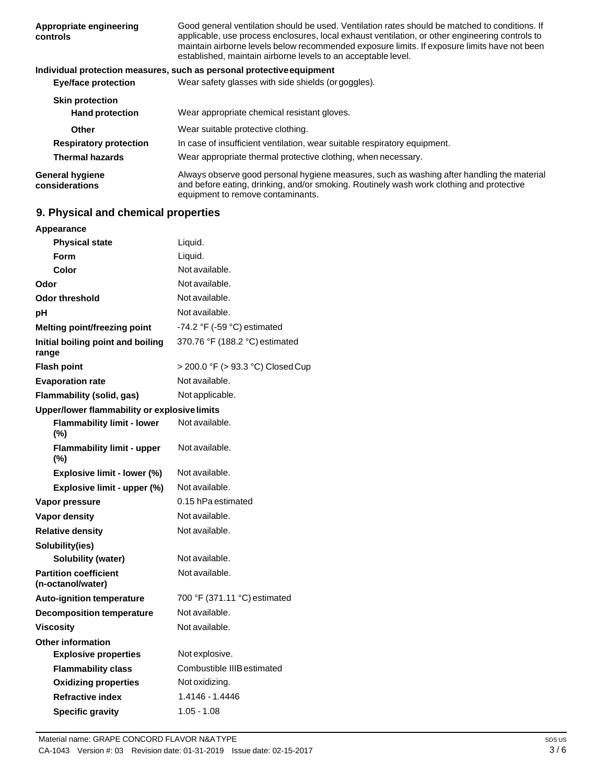| Appropriate engineering<br>controls      | Good general ventilation should be used. Ventilation rates should be matched to conditions. If<br>applicable, use process enclosures, local exhaust ventilation, or other engineering controls to<br>maintain airborne levels below recommended exposure limits. If exposure limits have not been<br>established, maintain airborne levels to an acceptable level. |
|------------------------------------------|--------------------------------------------------------------------------------------------------------------------------------------------------------------------------------------------------------------------------------------------------------------------------------------------------------------------------------------------------------------------|
|                                          | Individual protection measures, such as personal protective equipment                                                                                                                                                                                                                                                                                              |
| <b>Eye/face protection</b>               | Wear safety glasses with side shields (or goggles).                                                                                                                                                                                                                                                                                                                |
| <b>Skin protection</b>                   |                                                                                                                                                                                                                                                                                                                                                                    |
| <b>Hand protection</b>                   | Wear appropriate chemical resistant gloves.                                                                                                                                                                                                                                                                                                                        |
| Other                                    | Wear suitable protective clothing.                                                                                                                                                                                                                                                                                                                                 |
| <b>Respiratory protection</b>            | In case of insufficient ventilation, wear suitable respiratory equipment.                                                                                                                                                                                                                                                                                          |
| <b>Thermal hazards</b>                   | Wear appropriate thermal protective clothing, when necessary.                                                                                                                                                                                                                                                                                                      |
| <b>General hygiene</b><br>considerations | Always observe good personal hygiene measures, such as washing after handling the material<br>and before eating, drinking, and/or smoking. Routinely wash work clothing and protective<br>equipment to remove contaminants.                                                                                                                                        |

# **9. Physical and chemical properties**

| Appearance                                        |                                               |
|---------------------------------------------------|-----------------------------------------------|
| <b>Physical state</b>                             | Liquid.                                       |
| Form                                              | Liquid.                                       |
| Color                                             | Not available.                                |
| Odor                                              | Not available.                                |
| Odor threshold                                    | Not available.                                |
| pН                                                | Not available.                                |
| Melting point/freezing point                      | -74.2 $\degree$ F (-59 $\degree$ C) estimated |
| Initial boiling point and boiling<br>range        | 370.76 °F (188.2 °C) estimated                |
| <b>Flash point</b>                                | > 200.0 °F (> 93.3 °C) Closed Cup             |
| <b>Evaporation rate</b>                           | Not available.                                |
| <b>Flammability (solid, gas)</b>                  | Not applicable.                               |
| Upper/lower flammability or explosive limits      |                                               |
| <b>Flammability limit - lower</b><br>(%)          | Not available.                                |
| <b>Flammability limit - upper</b><br>$(\%)$       | Not available.                                |
| Explosive limit - lower (%)                       | Not available.                                |
| Explosive limit - upper (%)                       | Not available.                                |
| Vapor pressure                                    | 0.15 hPa estimated                            |
| <b>Vapor density</b>                              | Not available.                                |
| <b>Relative density</b>                           | Not available.                                |
| Solubility(ies)                                   |                                               |
| <b>Solubility (water)</b>                         | Not available.                                |
| <b>Partition coefficient</b><br>(n-octanol/water) | Not available.                                |
| <b>Auto-ignition temperature</b>                  | 700 °F (371.11 °C) estimated                  |
| <b>Decomposition temperature</b>                  | Not available.                                |
| <b>Viscosity</b>                                  | Not available.                                |
| <b>Other information</b>                          |                                               |
| <b>Explosive properties</b>                       | Not explosive.                                |
| <b>Flammability class</b>                         | Combustible IIIB estimated                    |
| <b>Oxidizing properties</b>                       | Not oxidizing.                                |
| <b>Refractive index</b>                           | 1.4146 - 1.4446                               |
| <b>Specific gravity</b>                           | $1.05 - 1.08$                                 |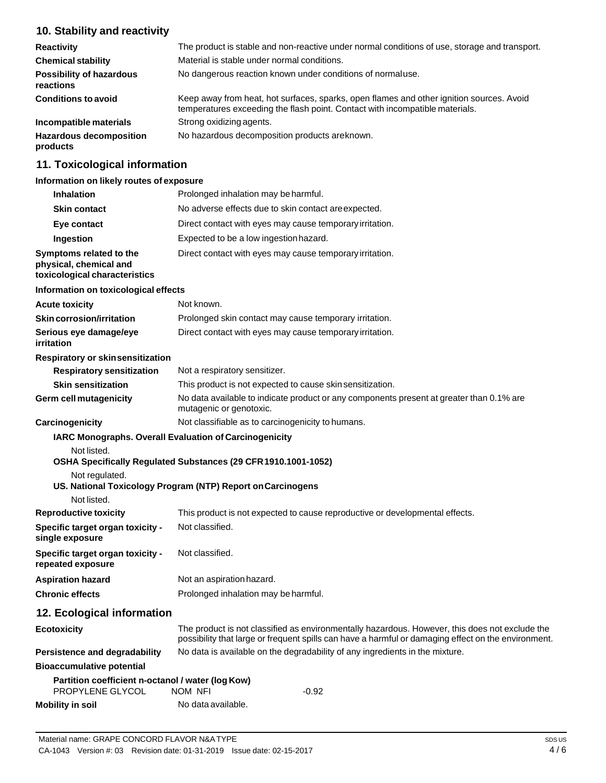# **10. Stability and reactivity**

| <b>Reactivity</b>                            | The product is stable and non-reactive under normal conditions of use, storage and transport.                                                                            |
|----------------------------------------------|--------------------------------------------------------------------------------------------------------------------------------------------------------------------------|
| <b>Chemical stability</b>                    | Material is stable under normal conditions.                                                                                                                              |
| <b>Possibility of hazardous</b><br>reactions | No dangerous reaction known under conditions of normaluse.                                                                                                               |
| <b>Conditions to avoid</b>                   | Keep away from heat, hot surfaces, sparks, open flames and other ignition sources. Avoid<br>temperatures exceeding the flash point. Contact with incompatible materials. |
| Incompatible materials                       | Strong oxidizing agents.                                                                                                                                                 |
| <b>Hazardous decomposition</b><br>products   | No hazardous decomposition products areknown.                                                                                                                            |

# **11. Toxicological information**

#### **Information on likely routes of exposure**

| <b>Inhalation</b>                                                                  | Prolonged inhalation may be harmful.                                                                                                                                                                  |
|------------------------------------------------------------------------------------|-------------------------------------------------------------------------------------------------------------------------------------------------------------------------------------------------------|
| <b>Skin contact</b>                                                                | No adverse effects due to skin contact are expected.                                                                                                                                                  |
| Eye contact                                                                        | Direct contact with eyes may cause temporary irritation.                                                                                                                                              |
| <b>Ingestion</b>                                                                   | Expected to be a low ingestion hazard.                                                                                                                                                                |
| Symptoms related to the<br>physical, chemical and<br>toxicological characteristics | Direct contact with eyes may cause temporary irritation.                                                                                                                                              |
| Information on toxicological effects                                               |                                                                                                                                                                                                       |
| <b>Acute toxicity</b>                                                              | Not known.                                                                                                                                                                                            |
| <b>Skin corrosion/irritation</b>                                                   | Prolonged skin contact may cause temporary irritation.                                                                                                                                                |
| Serious eye damage/eye<br>irritation                                               | Direct contact with eyes may cause temporary irritation.                                                                                                                                              |
| <b>Respiratory or skinsensitization</b>                                            |                                                                                                                                                                                                       |
| <b>Respiratory sensitization</b>                                                   | Not a respiratory sensitizer.                                                                                                                                                                         |
| <b>Skin sensitization</b>                                                          | This product is not expected to cause skin sensitization.                                                                                                                                             |
| Germ cell mutagenicity                                                             | No data available to indicate product or any components present at greater than 0.1% are<br>mutagenic or genotoxic.                                                                                   |
| <b>Carcinogenicity</b>                                                             | Not classifiable as to carcinogenicity to humans.                                                                                                                                                     |
| Not listed.<br>Not regulated.<br>Not listed.                                       | <b>IARC Monographs. Overall Evaluation of Carcinogenicity</b><br>OSHA Specifically Regulated Substances (29 CFR 1910.1001-1052)<br>US. National Toxicology Program (NTP) Report on Carcinogens        |
| <b>Reproductive toxicity</b>                                                       | This product is not expected to cause reproductive or developmental effects.                                                                                                                          |
| Specific target organ toxicity -<br>single exposure                                | Not classified.                                                                                                                                                                                       |
| <b>Specific target organ toxicity -</b><br>repeated exposure                       | Not classified.                                                                                                                                                                                       |
| <b>Aspiration hazard</b>                                                           | Not an aspiration hazard.                                                                                                                                                                             |
| <b>Chronic effects</b>                                                             | Prolonged inhalation may be harmful.                                                                                                                                                                  |
| 12. Ecological information                                                         |                                                                                                                                                                                                       |
| <b>Ecotoxicity</b>                                                                 | The product is not classified as environmentally hazardous. However, this does not exclude the<br>possibility that large or frequent spills can have a harmful or damaging effect on the environment. |
| Persistence and degradability                                                      | No data is available on the degradability of any ingredients in the mixture.                                                                                                                          |
| <b>Bioaccumulative potential</b>                                                   |                                                                                                                                                                                                       |
| Partition coefficient n-octanol / water (log Kow)<br><b>PROPYLENE GLYCOL</b>       | NOM NFI<br>-0.92                                                                                                                                                                                      |

**Mobility in soil** No data available.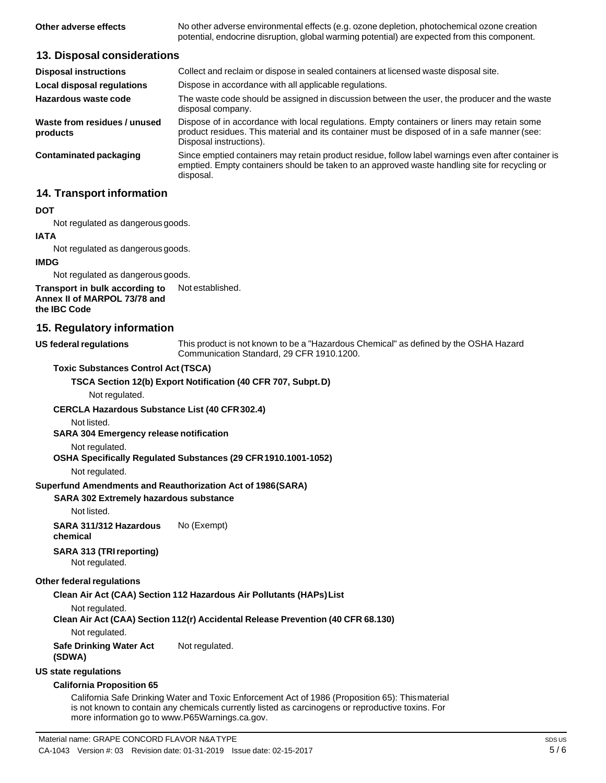**Other adverse effects** No other adverse environmental effects (e.g. ozone depletion, photochemical ozone creation potential, endocrine disruption, global warming potential) are expected from this component.

#### **13. Disposal considerations**

| <b>Disposal instructions</b>             | Collect and reclaim or dispose in sealed containers at licensed waste disposal site.                                                                                                                                   |
|------------------------------------------|------------------------------------------------------------------------------------------------------------------------------------------------------------------------------------------------------------------------|
| Local disposal regulations               | Dispose in accordance with all applicable regulations.                                                                                                                                                                 |
| Hazardous waste code                     | The waste code should be assigned in discussion between the user, the producer and the waste<br>disposal company.                                                                                                      |
| Waste from residues / unused<br>products | Dispose of in accordance with local regulations. Empty containers or liners may retain some<br>product residues. This material and its container must be disposed of in a safe manner (see:<br>Disposal instructions). |
| Contaminated packaging                   | Since emptied containers may retain product residue, follow label warnings even after container is<br>emptied. Empty containers should be taken to an approved waste handling site for recycling or<br>disposal.       |

#### **14. Transport information**

#### **DOT**

Not regulated as dangerous goods.

#### **IATA**

Not regulated as dangerous goods.

#### **IMDG**

Not regulated as dangerous goods.

#### **Transport in bulk according to Annex II of MARPOL 73/78 and** Not established.

**the IBC Code**

#### **15. Regulatory information**

**US** federal regulations

This product is not known to be a "Hazardous Chemical" as defined by the OSHA Hazard Communication Standard, 29 CFR 1910.1200.

#### **Toxic Substances Control Act (TSCA)**

**TSCA Section 12(b) Export Notification (40 CFR 707, Subpt.D)**

Not regulated.

#### **CERCLA Hazardous Substance List (40 CFR302.4)**

Not listed.

**SARA 304 Emergency release notification**

Not regulated.

#### **OSHA Specifically Regulated Substances (29 CFR1910.1001-1052)**

Not regulated.

#### **Superfund Amendments and Reauthorization Act of 1986(SARA)**

#### **SARA 302 Extremely hazardous substance**

Not listed.

**SARA 311/312 Hazardous chemical** No (Exempt)

# **SARA 313 (TRIreporting)**

Not regulated.

# **Other federal regulations**

### **Clean Air Act (CAA) Section 112 Hazardous Air Pollutants (HAPs)List**

Not regulated.

# **Clean Air Act (CAA) Section 112(r) Accidental Release Prevention (40 CFR 68.130)**

Not regulated.

**Safe Drinking Water Act (SDWA)** Not regulated.

# **US state regulations**

#### **California Proposition 65**

California Safe Drinking Water and Toxic Enforcement Act of 1986 (Proposition 65): Thismaterial is not known to contain any chemicals currently listed as carcinogens or reproductive toxins. For more information go to [www.P65Warnings.ca.gov.](http://www.p65warnings.ca.gov/)